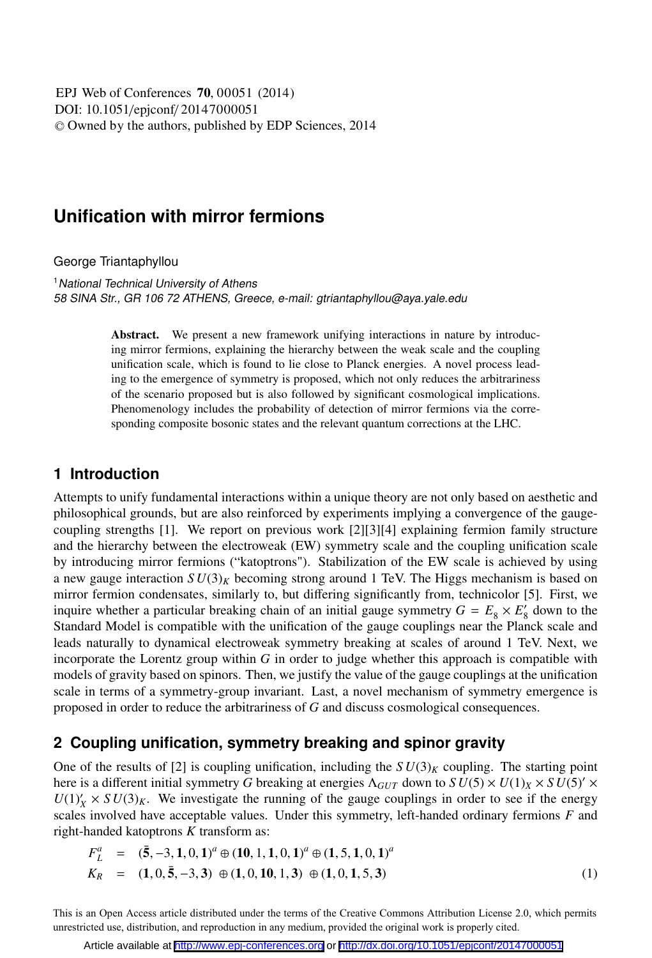DOI: 10.1051/epjconf/ 20147000051 -<sup>C</sup> Owned by the authors, published by EDP Sciences, 2014 EPJ Web of Conferences **70**, 00051 (2014)

# **Unification with mirror fermions**

George Triantaphyllou

<sup>1</sup> National Technical University of Athens 58 SINA Str., GR 106 72 ATHENS, Greece, e-mail: gtriantaphyllou@aya.yale.edu

> Abstract. We present a new framework unifying interactions in nature by introducing mirror fermions, explaining the hierarchy between the weak scale and the coupling unification scale, which is found to lie close to Planck energies. A novel process leading to the emergence of symmetry is proposed, which not only reduces the arbitrariness of the scenario proposed but is also followed by significant cosmological implications. Phenomenology includes the probability of detection of mirror fermions via the corresponding composite bosonic states and the relevant quantum corrections at the LHC.

### **1 Introduction**

Attempts to unify fundamental interactions within a unique theory are not only based on aesthetic and philosophical grounds, but are also reinforced by experiments implying a convergence of the gaugecoupling strengths [1]. We report on previous work [2][3][4] explaining fermion family structure and the hierarchy between the electroweak (EW) symmetry scale and the coupling unification scale by introducing mirror fermions ("katoptrons"). Stabilization of the EW scale is achieved by using a new gauge interaction  $SU(3)_K$  becoming strong around 1 TeV. The Higgs mechanism is based on mirror fermion condensates, similarly to, but differing significantly from, technicolor [5]. First, we inquire whether a particular breaking chain of an initial gauge symmetry  $G = E_8 \times E'_8$  down to the Standard Model is compatible with the unification of the gauge couplings near the Planck scale and leads naturally to dynamical electroweak symmetry breaking at scales of around 1 TeV. Next, we incorporate the Lorentz group within *G* in order to judge whether this approach is compatible with models of gravity based on spinors. Then, we justify the value of the gauge couplings at the unification scale in terms of a symmetry-group invariant. Last, a novel mechanism of symmetry emergence is proposed in order to reduce the arbitrariness of *G* and discuss cosmological consequences.

### **2 Coupling unification, symmetry breaking and spinor gravity**

One of the results of [2] is coupling unification, including the  $SU(3)_K$  coupling. The starting point here is a different initial symmetry *G* breaking at energies  $\Lambda_{GUT}$  down to  $SU(5) \times U(1)_X \times SU(5)' \times$  $U(1)'_X \times SU(3)_K$ . We investigate the running of the gauge couplings in order to see if the energy scales involved have acceptable values. Under this symmetry, left-handed ordinary fermions *F* and right-handed katoptrons *K* transform as:

$$
F_L^a = (\bar{5}, -3, 1, 0, 1)^a \oplus (10, 1, 1, 0, 1)^a \oplus (1, 5, 1, 0, 1)^a
$$
  
\n
$$
K_R = (1, 0, \bar{5}, -3, 3) \oplus (1, 0, 10, 1, 3) \oplus (1, 0, 1, 5, 3)
$$
\n(1)

This is an Open Access article distributed under the terms of the Creative Commons Attribution License 2.0, which permits unrestricted use, distribution, and reproduction in any medium, provided the original work is properly cited.

Article available at <http://www.epj-conferences.org> or <http://dx.doi.org/10.1051/epjconf/20147000051>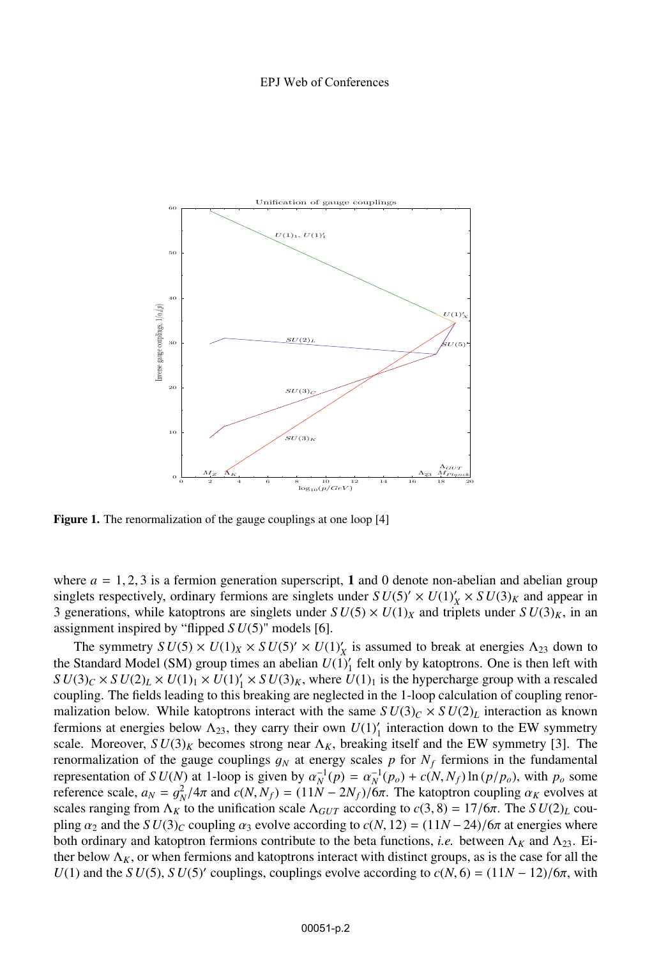

Figure 1. The renormalization of the gauge couplings at one loop [4]

where  $a = 1, 2, 3$  is a fermion generation superscript, 1 and 0 denote non-abelian and abelian group singlets respectively, ordinary fermions are singlets under  $SU(5)' \times U(1)'_X \times SU(3)_K$  and appear in 3 generations, while katoptrons are singlets under  $SU(5) \times U(1)_X$  and triplets under  $SU(3)_K$ , in an assignment inspired by "flipped *S U*(5)" models [6].

The symmetry  $SU(5) \times U(1)_X \times SU(5)' \times U(1)_X'$  is assumed to break at energies  $\Lambda_{23}$  down to the Standard Model (SM) group times an abelian  $U(1)'_1$  felt only by katoptrons. One is then left with  $SU(3)_C \times SU(2)_L \times U(1)_1 \times U(1)'_1 \times SU(3)_K$ , where  $U(1)_1$  is the hypercharge group with a rescaled coupling. The fields leading to this breaking are neglected in the 1-loop calculation of coupling renormalization below. While katoptrons interact with the same  $SU(3)_C \times SU(2)_L$  interaction as known fermions at energies below  $\Lambda_{23}$ , they carry their own  $U(1)'_1$  interaction down to the EW symmetry scale. Moreover,  $SU(3)_K$  becomes strong near  $\Lambda_K$ , breaking itself and the EW symmetry [3]. The renormalization of the gauge couplings  $g_N$  at energy scales p for  $N_f$  fermions in the fundamental representation of *S U(N)* at 1-loop is given by  $\alpha_N^{-1}(p) = \alpha_N^{-1}(p_o) + c(N, N_f) \ln (p/p_o)$ , with  $p_o$  some reference scale  $q_v = \alpha^2 / 4\pi$  and  $c(N, N_c) = (11N - 2N_c)/6\pi$ . The katontron counting  $\alpha_N$  evolves at reference scale,  $a_N = g_N^2/4\pi$  and  $c(N, N_f) = (11N - 2N_f)/6\pi$ . The katoptron coupling  $\alpha_K$  evolves at scales ranging from  $\Delta_{N_f}$  to the unification scale  $\Delta_{N_f}$  according to  $c(3, 8) - 17/6\pi$ . The S*U(2)*), couscales ranging from  $\Lambda_K$  to the unification scale  $\Lambda_{GUT}$  according to  $c(3, 8) = 17/6\pi$ . The *SU(2)<sub>L</sub>* coupling  $\alpha_2$  and the *S U*(3)<sub>*C*</sub> coupling  $\alpha_3$  evolve according to  $c(N, 12) = (11N - 24)/6\pi$  at energies where both ordinary and katoptron fermions contribute to the beta functions, *i.e.* between  $\Lambda_K$  and  $\Lambda_{23}$ . Either below  $\Lambda_K$ , or when fermions and katoptrons interact with distinct groups, as is the case for all the *U*(1) and the *S U*(5), *S U*(5)<sup> $\prime$ </sup> couplings, couplings evolve according to  $c(N, 6) = (11N - 12)/6\pi$ , with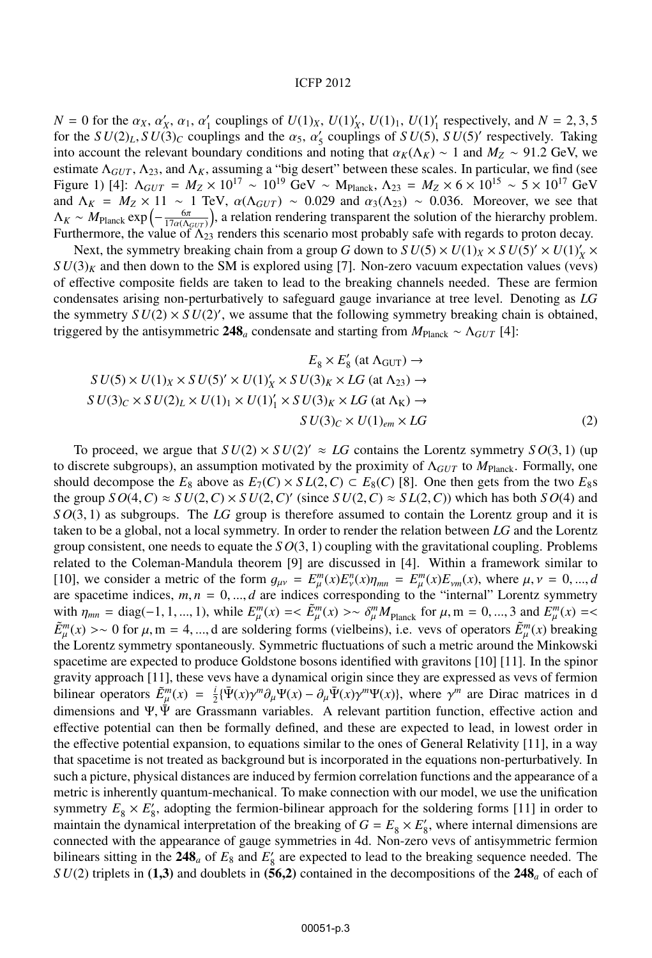#### ICFP 2012

 $N = 0$  for the  $\alpha_X$ ,  $\alpha'_X$ ,  $\alpha_1$ ,  $\alpha'_1$  couplings of  $U(1)_X$ ,  $U(1)'_X$ ,  $U(1)_1$ ,  $U(1)'_1$  respectively, and  $N = 2, 3, 5$  for the  $SU(3)$ .  $SU(3)$  couplings and the  $\alpha_X$ ,  $\alpha'$  couplings of  $SU(5)$ ,  $SU(5)'$  respectively. for the  $SU(2)_L$ ,  $SU(3)_C$  couplings and the  $\alpha_5$ ,  $\alpha'_5$  couplings of  $SU(5)$ ,  $SU(5)'$  respectively. Taking into account the relevant boundary conditions and noting that  $\alpha_V(\Lambda_V) \approx 1$  and  $M_7 \approx 91.2$  GeV we into account the relevant boundary conditions and noting that  $\alpha_K(\Lambda_K) \sim 1$  and  $M_Z \sim 91.2$  GeV, we estimate  $\Lambda_{GUT}$ ,  $\Lambda_{23}$ , and  $\Lambda_K$ , assuming a "big desert" between these scales. In particular, we find (see Figure 1) [4]:  $Λ_{GUT} = M_Z \times 10^{17} ~$   $\sim 10^{19}$  GeV  $\sim M_{Planck}$ ,  $Λ_{23} = M_Z \times 6 \times 10^{15} ~$   $\sim 5 \times 10^{17}$  GeV and  $\Delta_K = M_Z \times 11 \sim 1$  TeV,  $\alpha(\Delta_{GUT}) \sim 0.029$  and  $\alpha_3(\Delta_{23}) \sim 0.036$ . Moreover, we see that  $\Delta_K \sim M_{\text{N}}$ , exp( $-\frac{6\pi}{3}$ ) a relation rendering transparent the solution of the hierarchy problem  $\Lambda_K \sim M_{\text{Planck}} \exp\left(-\frac{6\pi}{17\alpha (M_GUT)}\right)$ , a relation rendering transparent the solution of the hierarchy problem.<br>Furthermore, the value of  $\Lambda_{23}$  renders this scenario most probably safe with regards to proton decay Furthermore, the value of  $\Lambda_{23}$  renders this scenario most probably safe with regards to proton decay.

Next, the symmetry breaking chain from a group *G* down to  $SU(5) \times U(1)_X \times SU(5)' \times U(1)_X' \times U(1)_Y$  $SU(3)_K$  and then down to the SM is explored using [7]. Non-zero vacuum expectation values (vevs) of effective composite fields are taken to lead to the breaking channels needed. These are fermion condensates arising non-perturbatively to safeguard gauge invariance at tree level. Denoting as *LG* the symmetry  $SU(2) \times SU(2)$ , we assume that the following symmetry breaking chain is obtained, triggered by the antisymmetric 248<sub>*a*</sub> condensate and starting from  $M_{\text{Planck}} \sim \Lambda_{GUT}$  [4]:

$$
E_8 \times E'_8 \text{ (at } \Lambda_{\text{GUT}}) \to
$$
  
\n
$$
SU(5) \times U(1)_X \times SU(5)' \times U(1)'_X \times SU(3)_K \times LG \text{ (at } \Lambda_{23}) \to
$$
  
\n
$$
SU(3)_C \times SU(2)_L \times U(1)_1 \times U(1)'_1 \times SU(3)_K \times LG \text{ (at } \Lambda_K) \to
$$
  
\n
$$
SU(3)_C \times U(1)_{em} \times LG \tag{2}
$$

To proceed, we argue that  $SU(2) \times SU(2)' \approx LG$  contains the Lorentz symmetry  $SO(3, 1)$  (up<br>iscrete subgroups) an assumption motivated by the proximity of  $\Lambda_{\text{cur}}$  to  $M_{\text{av}}$ . Formally one to discrete subgroups), an assumption motivated by the proximity of Λ*GUT* to *M*Planck. Formally, one should decompose the  $E_8$  above as  $E_7(C) \times SL(2, C) \subset E_8(C)$  [8]. One then gets from the two  $E_8$ s the group  $SO(4, C) \approx SU(2, C) \times SU(2, C)'$  (since  $SU(2, C) \approx SL(2, C)$ ) which has both  $SO(4)$  and  $SO(4, C) \approx SO(2, 1)$  as subgroups. The *LG* group is therefore assumed to contain the Lorentz group and it is *S O*(3, 1) as subgroups. The *LG* group is therefore assumed to contain the Lorentz group and it is taken to be a global, not a local symmetry. In order to render the relation between *LG* and the Lorentz group consistent, one needs to equate the *S O*(3, 1) coupling with the gravitational coupling. Problems related to the Coleman-Mandula theorem [9] are discussed in [4]. Within a framework similar to [10], we consider a metric of the form  $g_{\mu\nu} = E_{\mu}^{m}(x)E_{\nu}^{n}(x)\eta_{mn} = E_{\mu}^{m}(x)E_{\nu m}(x)$ , where  $\mu, \nu = 0, ..., d$  are indices corresponding to the "internal" I crentz symmetry are spacetime indices,  $m, n = 0, \dots, d$  are indices corresponding to the "internal" Lorentz symmetry with  $\eta_{mn} = \text{diag}(-1, 1, ..., 1)$ , while  $E_{\mu}^m(x) \le \tilde{E}_{\mu}^m(x) > \tilde{c}_{\mu}^m M_{\text{Planck}}$  for  $\mu, m = 0, ..., 3$  and  $E_{\mu}^m(x) \le \tilde{E}_{\mu}^m(x)$  $\tilde{E}_{\mu}^{m}(x)$  >∼ 0 for  $\mu$ , m = 4, ..., d are soldering forms (vielbeins), i.e. vevs of operators  $\tilde{E}_{\mu}^{m}(x)$  breaking the Lorentz symmetry spontaneously. Symmetric fluctuations of such a metric around the Minkow the Lorentz symmetry spontaneously. Symmetric fluctuations of such a metric around the Minkowski spacetime are expected to produce Goldstone bosons identified with gravitons [10] [11]. In the spinor gravity approach [11], these vevs have a dynamical origin since they are expressed as vevs of fermion bilinear operators  $\tilde{E}^m_\mu(x) = \frac{i}{2} [\Psi(x)\gamma^m \partial_\mu \Psi(x) - \partial_\mu \Psi(x)\gamma^m \Psi(x)]$ , where  $\gamma^m$  are Dirac matrices in d<br>dimensions and  $\Psi$  was Greesmann variables. A relevant partition function affective action and dimensions and Ψ, Ψ are Grassmann variables. A relevant partition function, effective action and effective potential can then be formally defined, and these are expected to lead, in lowest order in the effective potential expansion, to equations similar to the ones of General Relativity [11], in a way that spacetime is not treated as background but is incorporated in the equations non-perturbatively. In such a picture, physical distances are induced by fermion correlation functions and the appearance of a metric is inherently quantum-mechanical. To make connection with our model, we use the unification symmetry  $E_8 \times E'_8$ , adopting the fermion-bilinear approach for the soldering forms [11] in order to maintain the dynamical interpretation of the breaking of  $G = E_8 \times E'_8$ , where internal dimensions are connected with the appearance of gauge symmetries in 4d. Non-zero vevs of antisymmetric fermion bilinears sitting in the 248<sub>*a*</sub> of  $E_8$  and  $E'_8$  are expected to lead to the breaking sequence needed. The  $SII(2)$  triplets in (1.3) and doublets in (56.2) contained in the decompositions of the 248, of each of *S U*(2) triplets in (1,3) and doublets in (56,2) contained in the decompositions of the  $248_a$  of each of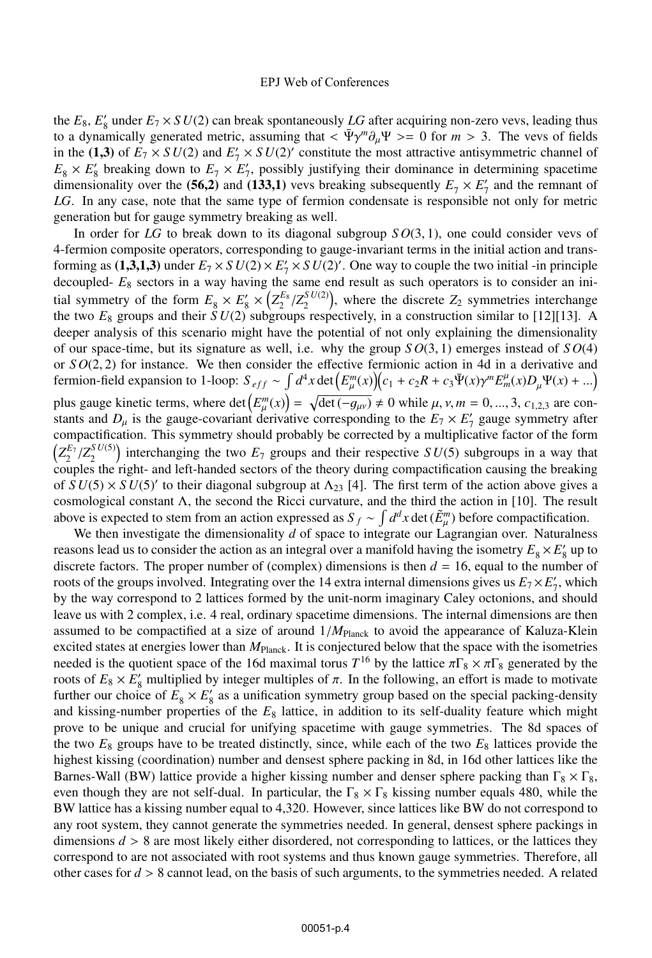the  $E_8$ ,  $E'_8$  under  $E_7 \times SU(2)$  can break spontaneously LG after acquiring non-zero vevs, leading thus to a dynamically generated metric, assuming that  $\langle \Psi \gamma^m \partial_\mu \Psi \rangle = 0$  for  $m > 3$ . The vevs of fields in the (1,3) of  $E_7 \times SU(2)$  and  $E'_7 \times SU(2)'$  constitute the most attractive antisymmetric channel of  $E \times F'$  breaking down to  $E \times F'$  possibly ustifying their dominance in determining spacetime  $E_8 \times E_8'$  breaking down to  $E_7 \times E_7'$ , possibly justifying their dominance in determining spacetime dimensionality over the (**56,2**) and (**133,1**) vevs breaking subsequently  $E_7 \times E'_7$  and the remnant of  $IG$ . In any case, note that the same type of fermion condensate is responsible not only for metric *LG*. In any case, note that the same type of fermion condensate is responsible not only for metric generation but for gauge symmetry breaking as well.

In order for *LG* to break down to its diagonal subgroup *S O*(3, 1), one could consider vevs of 4-fermion composite operators, corresponding to gauge-invariant terms in the initial action and transforming as (1,3,1,3) under  $E_7 \times SU(2) \times E'_7 \times SU(2)'$ . One way to couple the two initial -in principle decoupled-  $E_8$  sectors in a way having the same end result as such operators is to consider an inidecoupled- *E*<sup>8</sup> sectors in a way having the same end result as such operators is to consider an initial symmetry of the form  $E_8 \times E_8' \times (Z_2^{E_8}/Z_2^{SU(2)})$ , where the discrete  $Z_2$  symmetries interchange<br>the two  $F_8$  groups and their  $SU(2)$  subgroups respectively in a construction similar to [12][13]. A the two  $E_8$  groups and their  $SU(2)$  subgroups respectively, in a construction similar to [12][13]. A deeper analysis of this scenario might have the potential of not only explaining the dimensionality of our space-time, but its signature as well, i.e. why the group  $SO(3, 1)$  emerges instead of  $SO(4)$ or  $SO(2, 2)$  for instance. We then consider the effective fermionic action in 4d in a derivative and fermion-field expansion to 1-loop:  $S_{eff} \sim \int d^4x \det(E_\mu^m(x))(c_1 + c_2 R + c_3 \Psi(x) \gamma^m E_m^\mu(x) D_\mu \Psi(x) + ...)$ plus gauge kinetic terms, where det  $(E_{\mu}^{m}(x)) = \sqrt{\det(-g_{\mu\nu})} \neq 0$  while  $\mu, \nu, m = 0, ..., 3, c_{1,2,3}$  are con-<br>stants and D, is the gauge-covariant derivative corresponding to the  $F_{\tau} \times F'$  gauge symmetry after stants and  $D_{\mu}$  is the gauge-covariant derivative corresponding to the  $E_7 \times E'_7$  gauge symmetry after corresponding to the  $E_7 \times E'_7$  gauge symmetry after compactification. This symmetry should probably be corrected by a multiplicative factor of the form  $\left(Z_2^{E_7}/Z_2^{SU(5)}\right)$  interchanging the two  $E_7$  groups and their respective  $SU(5)$  subgroups in a way that couples the right- and left-handed sectors of the theory during compactification causing the breaking of  $\frac{S U(5) \times SU(5)'}{S U(5)}$  to their diagonal subgroup at  $\Lambda_{23}$  [4]. The first term of the action above gives a cosmological constant Λ, the second the Ricci curvature, and the third the action in [10]. The result above is expected to stem from an action expressed as  $S_f \sim \int d^dx$  det  $(\tilde{E}_\mu^m)$  before compactification.

We then investigate the dimensionality *d* of space to integrate our Lagrangian over. Naturalness reasons lead us to consider the action as an integral over a manifold having the isometry  $E_8 \times E'_8$  up to discrete factors. The proper number of (complex) dimensions is then  $d = 16$ , equal to the number of roots of the groups involved. Integrating over the 14 extra internal dimensions gives us  $E_7 \times E'_7$ , which by the way correspond to 2 lattices formed by the unit-norm imaginary Caley octonions, and should leave us with 2 complex, i.e. 4 real, ordinary spacetime dimensions. The internal dimensions are then assumed to be compactified at a size of around  $1/M_{\text{Planck}}$  to avoid the appearance of Kaluza-Klein excited states at energies lower than  $M_{\text{Planck}}$ . It is conjectured below that the space with the isometries needed is the quotient space of the 16d maximal torus  $T^{16}$  by the lattice  $\pi\Gamma_8 \times \pi\Gamma_8$  generated by the roots of  $E_8 \times E'_8$  multiplied by integer multiples of π. In the following, an effort is made to motivate further our choice of  $E \times E'$  as a unification symmetry group based on the special packing-density further our choice of  $E_8 \times E_8'$  as a unification symmetry group based on the special packing-density and kissing-number properties of the *E*<sup>8</sup> lattice, in addition to its self-duality feature which might prove to be unique and crucial for unifying spacetime with gauge symmetries. The 8d spaces of the two  $E_8$  groups have to be treated distinctly, since, while each of the two  $E_8$  lattices provide the highest kissing (coordination) number and densest sphere packing in 8d, in 16d other lattices like the Barnes-Wall (BW) lattice provide a higher kissing number and denser sphere packing than  $\Gamma_8 \times \Gamma_8$ , even though they are not self-dual. In particular, the  $\Gamma_8 \times \Gamma_8$  kissing number equals 480, while the BW lattice has a kissing number equal to 4,320. However, since lattices like BW do not correspond to any root system, they cannot generate the symmetries needed. In general, densest sphere packings in dimensions  $d > 8$  are most likely either disordered, not corresponding to lattices, or the lattices they correspond to are not associated with root systems and thus known gauge symmetries. Therefore, all other cases for  $d > 8$  cannot lead, on the basis of such arguments, to the symmetries needed. A related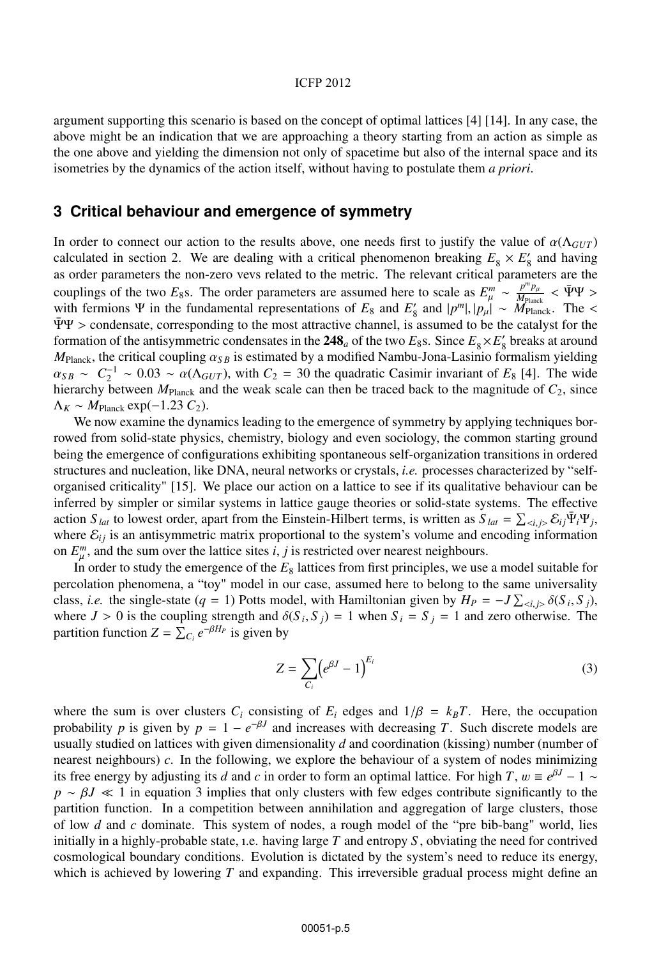#### ICFP 2012

argument supporting this scenario is based on the concept of optimal lattices [4] [14]. In any case, the above might be an indication that we are approaching a theory starting from an action as simple as the one above and yielding the dimension not only of spacetime but also of the internal space and its isometries by the dynamics of the action itself, without having to postulate them *a priori*.

### **3 Critical behaviour and emergence of symmetry**

In order to connect our action to the results above, one needs first to justify the value of  $\alpha(\Lambda_{GUT})$ calculated in section 2. We are dealing with a critical phenomenon breaking  $E_8 \times E'_8$  and having as order parameters the non-zero vevs related to the metric. The relevant critical parameters are the couplings of the two *E*<sub>8</sub>s. The order parameters are assumed here to scale as  $E_{\mu}^{m} \sim \frac{p^{m}p_{\mu}}{Mp_{\text{lank}}} < \bar{\Psi}\Psi >$ <br>with fermions Ψ in the fundamental representations of *F*<sub>0</sub> and *F'* and  $|p^{m}| \ln |\sim M_{\text{av}}|$ . The with fermions Ψ in the fundamental representations of  $E_8$  and  $E'_8$  and  $|p^m|, |p_\mu| \sim \frac{M_{\text{Planck}}}{M_{\text{Planck}}}$ . The <<br>ΨΨ > condensate corresponding to the most attractive channel is assumed to be the catalyst for the  $\Psi\Psi$  > condensate, corresponding to the most attractive channel, is assumed to be the catalyst for the formation of the antisymmetric condensates in the 248<sub>*a*</sub> of the two  $E_8$ s. Since  $E_8 \times E_8'$  breaks at around  $M_{\text{ex}}$ , the critical counting  $\alpha_{\text{ex}}$  is estimated by a modified Nambu-Iona-I asinio formalism vieldin  $M_{\text{Planck}}$ , the critical coupling  $\alpha_{SB}$  is estimated by a modified Nambu-Jona-Lasinio formalism yielding  $\alpha_{SB} \sim C_2^{-1} \sim 0.03 \sim \alpha(\Lambda_{GUT})$ , with  $C_2 = 30$  the quadratic Casimir invariant of *E*<sub>8</sub> [4]. The wide hierarchy between  $M_{\text{Planck}}$  and the weak scale can then be traced back to the magnitude of  $C_2$ , since  $\Lambda_K \sim M_{\text{Planck}} \exp(-1.23 C_2).$ 

We now examine the dynamics leading to the emergence of symmetry by applying techniques borrowed from solid-state physics, chemistry, biology and even sociology, the common starting ground being the emergence of configurations exhibiting spontaneous self-organization transitions in ordered structures and nucleation, like DNA, neural networks or crystals, *i.e.* processes characterized by "selforganised criticality" [15]. We place our action on a lattice to see if its qualitative behaviour can be inferred by simpler or similar systems in lattice gauge theories or solid-state systems. The effective action *S lat* to lowest order, apart from the Einstein-Hilbert terms, is written as  $S_{lat} = \sum_{\langle i,j \rangle} \mathcal{E}_{ij} \Psi_i \Psi_j$ , where  $\mathcal{E}_{ij}$  is an antisymmetric matrix proportional to the system's volume and encoding information on  $E_{\mu}^{m}$ , and the sum over the lattice sites *i*, *j* is restricted over nearest neighbours.<br>In order to study the emergence of the *F*<sub>2</sub> lattices from first principles, we use

In order to study the emergence of the  $E_8$  lattices from first principles, we use a model suitable for percolation phenomena, a "toy" model in our case, assumed here to belong to the same universality class, *i.e.* the single-state (*q* = 1) Potts model, with Hamiltonian given by  $H_P = -J \sum_{\langle i,j \rangle} \delta(S_i, S_j)$ , where  $I > 0$  is the coupling strength and  $\delta(S_i, S_j) = 1$  when  $S_i = S_j = 1$  and zero otherwise. The where  $J > 0$  is the coupling strength and  $\delta(S_i, S_j) = 1$  when  $S_i = S_j = 1$  and zero otherwise. The partition function  $Z = \sum_{i=0}^{n} e^{-\beta H_p}$  is given by

$$
Z = \sum_{C_i} \left( e^{\beta J} - 1 \right)^{E_i} \tag{3}
$$

where the sum is over clusters  $C_i$  consisting of  $E_i$  edges and  $1/\beta = k_B T$ . Here, the occupation probability *p* is given by  $p = 1 - e^{-\beta J}$  and increases with decreasing *T*. Such discrete models are usually studied on lattices with given dimensionality *d* and coordination (kissing) number (number of nearest neighbours) *c*. In the following, we explore the behaviour of a system of nodes minimizing its free energy by adjusting its *d* and *c* in order to form an optimal lattice. For high *T*,  $w \equiv e^{\beta J} - 1 \sim$  $p \sim \beta J \ll 1$  in equation 3 implies that only clusters with few edges contribute significantly to the partition function. In a competition between annihilation and aggregation of large clusters, those of low *d* and *c* dominate. This system of nodes, a rough model of the "pre bib-bang" world, lies initially in a highly-probable state, ı.e. having large *T* and entropy *S* , obviating the need for contrived cosmological boundary conditions. Evolution is dictated by the system's need to reduce its energy, which is achieved by lowering *T* and expanding. This irreversible gradual process might define an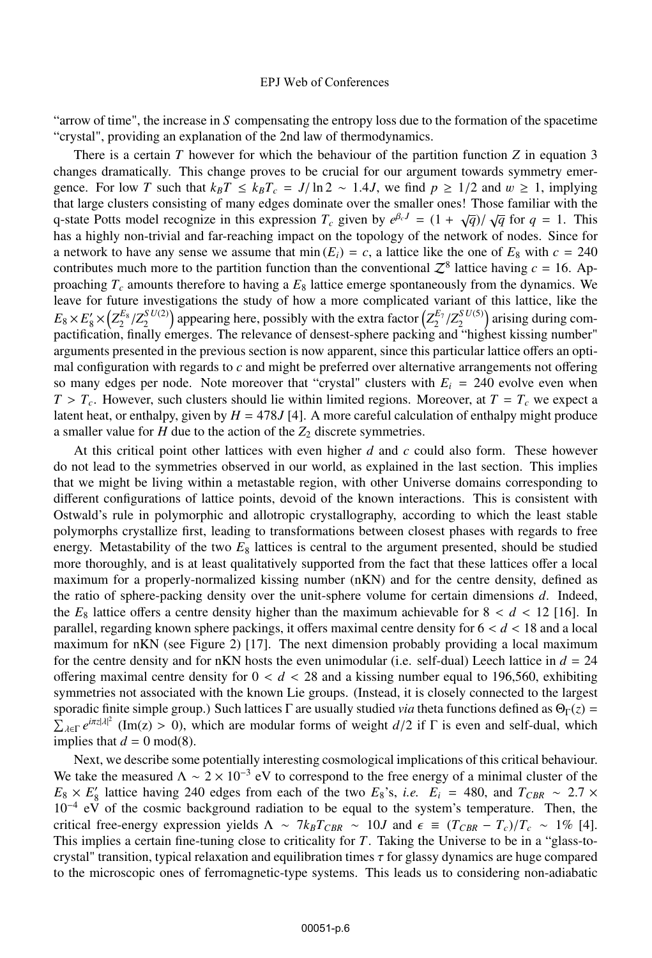"arrow of time", the increase in *S* compensating the entropy loss due to the formation of the spacetime "crystal", providing an explanation of the 2nd law of thermodynamics.

There is a certain *T* however for which the behaviour of the partition function *Z* in equation 3 changes dramatically. This change proves to be crucial for our argument towards symmetry emergence. For low *T* such that  $k_B T \leq k_B T_c = J/\ln 2 \sim 1.4J$ , we find  $p \geq 1/2$  and  $w \geq 1$ , implying that large clusters consisting of many edges dominate over the smaller ones! Those familiar with the q-state Potts model recognize in this expression  $T_c$  given by  $e^{\beta_c t} = (1 + \sqrt{q})/\sqrt{q}$  for  $q = 1$ . This has a highly non-trivial and far-reaching impact on the topology of the network of nodes. Since for has a highly non-trivial and far-reaching impact on the topology of the network of nodes. Since for a network to have any sense we assume that  $min(E_i) = c$ , a lattice like the one of  $E_8$  with  $c = 240$ contributes much more to the partition function than the conventional  $Z^8$  lattice having  $c = 16$ . Approaching  $T_c$  amounts therefore to having a  $E_8$  lattice emerge spontaneously from the dynamics. We leave for future investigations the study of how a more complicated variant of this lattice, like the  $E_8 \times E'_8 \times (Z_2^{E_8}/Z_2^{SU(2)})$  appearing here, possibly with the extra factor  $(Z_2^{E_7}/Z_2^{SU(5)})$  arising during com-<br>pactification, finally emerges. The relevance of densest-sphere packing and "bighest kissing number" pactification, finally emerges. The relevance of densest-sphere packing and "highest kissing number" arguments presented in the previous section is now apparent, since this particular lattice offers an optimal configuration with regards to *c* and might be preferred over alternative arrangements not offering so many edges per node. Note moreover that "crystal" clusters with  $E_i = 240$  evolve even when  $T > T_c$ . However, such clusters should lie within limited regions. Moreover, at  $T = T_c$  we expect a latent heat, or enthalpy, given by  $H = 478J$  [4]. A more careful calculation of enthalpy might produce a smaller value for  $H$  due to the action of the  $Z_2$  discrete symmetries.

At this critical point other lattices with even higher *d* and *c* could also form. These however do not lead to the symmetries observed in our world, as explained in the last section. This implies that we might be living within a metastable region, with other Universe domains corresponding to different configurations of lattice points, devoid of the known interactions. This is consistent with Ostwald's rule in polymorphic and allotropic crystallography, according to which the least stable polymorphs crystallize first, leading to transformations between closest phases with regards to free energy. Metastability of the two  $E_8$  lattices is central to the argument presented, should be studied more thoroughly, and is at least qualitatively supported from the fact that these lattices offer a local maximum for a properly-normalized kissing number (nKN) and for the centre density, defined as the ratio of sphere-packing density over the unit-sphere volume for certain dimensions *d*. Indeed, the  $E_8$  lattice offers a centre density higher than the maximum achievable for  $8 < d < 12$  [16]. In parallel, regarding known sphere packings, it offers maximal centre density for 6 < *<sup>d</sup>* < 18 and a local maximum for nKN (see Figure 2) [17]. The next dimension probably providing a local maximum for the centre density and for nKN hosts the even unimodular (i.e. self-dual) Leech lattice in  $d = 24$ offering maximal centre density for  $0 < d < 28$  and a kissing number equal to 196,560, exhibiting symmetries not associated with the known Lie groups. (Instead, it is closely connected to the largest sporadic finite simple group.) Such lattices Γ are usually studied *via* theta functions defined as  $\Theta_{\Gamma}(z)$  =  $\sum_{\lambda \in \Gamma} e^{i\pi z |\lambda|^2}$  (Im(z) > 0), which are modular forms of weight *d*/2 if  $\Gamma$  is even and self-dual, which implies that  $d = 0 \mod(8)$ implies that  $d = 0$  mod(8).

Next, we describe some potentially interesting cosmological implications of this critical behaviour. We take the measured  $\Lambda \sim 2 \times 10^{-3}$  eV to correspond to the free energy of a minimal cluster of the  $E_8 \times E_8'$  lattice having 240 edges from each of the two  $E_8$ 's, *i.e.*  $E_i = 480$ , and  $T_{CBR} \sim 2.7 \times 10^{-4}$  eV of the cosmic background radiation to be equal to the system's temperature. Then the 10<sup>−</sup><sup>4</sup> eV of the cosmic background radiation to be equal to the system's temperature. Then, the critical free-energy expression yields  $\Lambda \sim 7k_B T_{CBR} \sim 10J$  and  $\epsilon \equiv (T_{CBR} - T_c)/T_c \sim 1\%$  [4]. This implies a certain fine-tuning close to criticality for *T*. Taking the Universe to be in a "glass-tocrystal" transition, typical relaxation and equilibration times  $\tau$  for glassy dynamics are huge compared to the microscopic ones of ferromagnetic-type systems. This leads us to considering non-adiabatic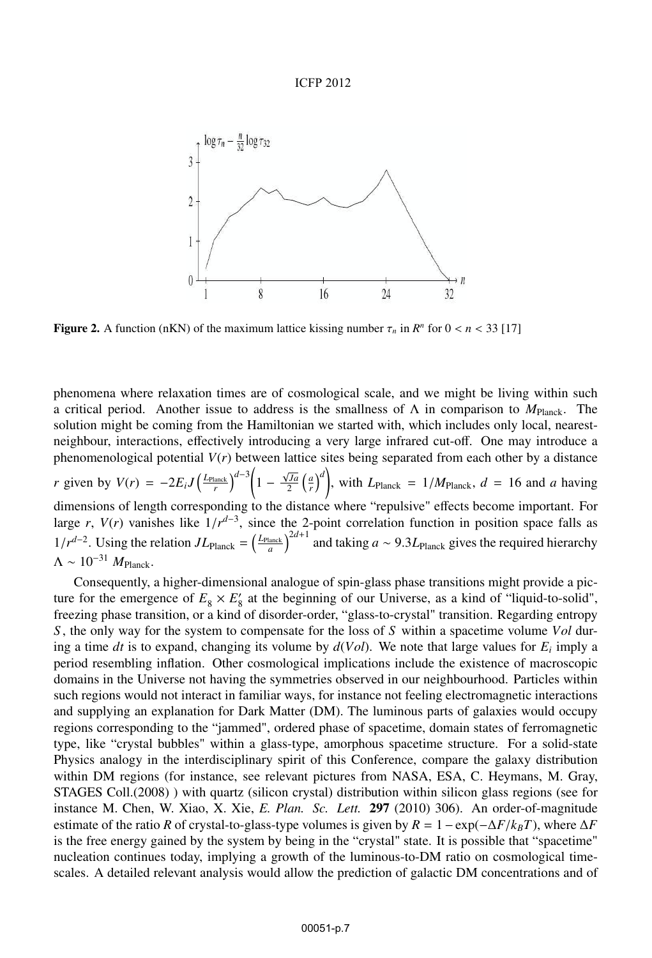#### ICFP 2012



**Figure 2.** A function (nKN) of the maximum lattice kissing number  $\tau_n$  in  $R^n$  for  $0 < n < 33$  [17]

phenomena where relaxation times are of cosmological scale, and we might be living within such a critical period. Another issue to address is the smallness of Λ in comparison to *M*Planck. The solution might be coming from the Hamiltonian we started with, which includes only local, nearestneighbour, interactions, effectively introducing a very large infrared cut-off. One may introduce a phenomenological potential *V*(*r*) between lattice sites being separated from each other by a distance *r* given by  $V(r) = -2E_i J \left(\frac{L_{\text{Planck}}}{r}\right)^{d-3} \left(1 - \frac{\sqrt{Ja}}{2}\right)$  $\left(\frac{\sqrt{a}}{2} \left(\frac{a}{r}\right)^d\right)$ , with  $L_{\text{Planck}} = 1/M_{\text{Planck}}$ ,  $d = 16$  and *a* having dimensions of length corresponding to the distance where "repulsive" effects become important. For large *r*,  $V(r)$  vanishes like  $1/r^{d-3}$ , since the 2-point correlation function in position space falls as  $1/r^{d-2}$ . Using the relation  $J L_{\text{Planck}} = \left(\frac{L_{\text{Planck}}}{a}\right)^{2d+1}$  and taking *a* ∼ 9.3 $L_{\text{Planck}}$  gives the required hierarchy  $\Lambda \sim 10^{-31} M_{\text{Planck}}$ .

Consequently, a higher-dimensional analogue of spin-glass phase transitions might provide a picture for the emergence of  $E_8 \times E_8$  at the beginning of our Universe, as a kind of "liquid-to-solid", freezing phase transition, or a kind of disorder-order, "glass-to-crystal" transition. Regarding entropy *S* , the only way for the system to compensate for the loss of *S* within a spacetime volume *Vol* during a time *dt* is to expand, changing its volume by  $d(Vol)$ . We note that large values for  $E_i$  imply a period resembling inflation. Other cosmological implications include the existence of macroscopic domains in the Universe not having the symmetries observed in our neighbourhood. Particles within such regions would not interact in familiar ways, for instance not feeling electromagnetic interactions and supplying an explanation for Dark Matter (DM). The luminous parts of galaxies would occupy regions corresponding to the "jammed", ordered phase of spacetime, domain states of ferromagnetic type, like "crystal bubbles" within a glass-type, amorphous spacetime structure. For a solid-state Physics analogy in the interdisciplinary spirit of this Conference, compare the galaxy distribution within DM regions (for instance, see relevant pictures from NASA, ESA, C. Heymans, M. Gray, STAGES Coll.(2008) ) with quartz (silicon crystal) distribution within silicon glass regions (see for instance M. Chen, W. Xiao, X. Xie, *E. Plan. Sc. Lett.* 297 (2010) 306). An order-of-magnitude estimate of the ratio *R* of crystal-to-glass-type volumes is given by  $R = 1 - \exp(-\Delta F/k_BT)$ , where  $\Delta F$ is the free energy gained by the system by being in the "crystal" state. It is possible that "spacetime" nucleation continues today, implying a growth of the luminous-to-DM ratio on cosmological timescales. A detailed relevant analysis would allow the prediction of galactic DM concentrations and of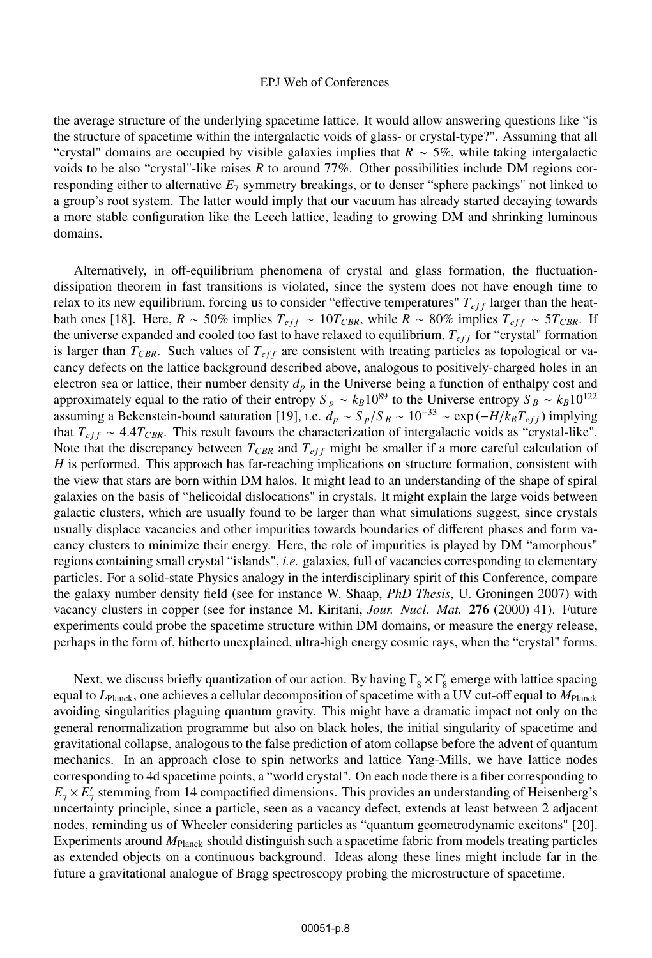the average structure of the underlying spacetime lattice. It would allow answering questions like "is the structure of spacetime within the intergalactic voids of glass- or crystal-type?". Assuming that all "crystal" domains are occupied by visible galaxies implies that *R* ∼ 5%, while taking intergalactic voids to be also "crystal"-like raises *R* to around 77%. Other possibilities include DM regions corresponding either to alternative *E*<sup>7</sup> symmetry breakings, or to denser "sphere packings" not linked to a group's root system. The latter would imply that our vacuum has already started decaying towards a more stable configuration like the Leech lattice, leading to growing DM and shrinking luminous domains.

Alternatively, in off-equilibrium phenomena of crystal and glass formation, the fluctuationdissipation theorem in fast transitions is violated, since the system does not have enough time to relax to its new equilibrium, forcing us to consider "effective temperatures"  $T_{eff}$  larger than the heatbath ones [18]. Here,  $R \sim 50\%$  implies  $T_{eff} \sim 10T_{CBR}$ , while  $R \sim 80\%$  implies  $T_{eff} \sim 5T_{CBR}$ . If the universe expanded and cooled too fast to have relaxed to equilibrium,  $T_{eff}$  for "crystal" formation is larger than  $T_{CBR}$ . Such values of  $T_{eff}$  are consistent with treating particles as topological or vacancy defects on the lattice background described above, analogous to positively-charged holes in an electron sea or lattice, their number density  $d_p$  in the Universe being a function of enthalpy cost and approximately equal to the ratio of their entropy  $S_p \sim k_B 10^{89}$  to the Universe entropy  $S_B \sim k_B 10^{122}$ assuming a Bekenstein-bound saturation [19], i.e.  $d_p \sim S_p/S_B \sim 10^{-33} \sim \exp(-H/k_B T_{eff})$  implying<br>that  $T_{esc} \sim 4.4 T_{cnn}$ . This result favours the characterization of intervalactic voids as "crystal-like" that  $T_{eff} \sim 4.4 T_{CBR}$ . This result favours the characterization of intergalactic voids as "crystal-like". Note that the discrepancy between  $T_{CRR}$  and  $T_{eff}$  might be smaller if a more careful calculation of *H* is performed. This approach has far-reaching implications on structure formation, consistent with the view that stars are born within DM halos. It might lead to an understanding of the shape of spiral galaxies on the basis of "helicoidal dislocations" in crystals. It might explain the large voids between galactic clusters, which are usually found to be larger than what simulations suggest, since crystals usually displace vacancies and other impurities towards boundaries of different phases and form vacancy clusters to minimize their energy. Here, the role of impurities is played by DM "amorphous" regions containing small crystal "islands", *i.e.* galaxies, full of vacancies corresponding to elementary particles. For a solid-state Physics analogy in the interdisciplinary spirit of this Conference, compare the galaxy number density field (see for instance W. Shaap, *PhD Thesis*, U. Groningen 2007) with vacancy clusters in copper (see for instance M. Kiritani, *Jour. Nucl. Mat.* 276 (2000) 41). Future experiments could probe the spacetime structure within DM domains, or measure the energy release, perhaps in the form of, hitherto unexplained, ultra-high energy cosmic rays, when the "crystal" forms.

Next, we discuss briefly quantization of our action. By having  $\Gamma_8 \times \Gamma'_8$  emerge with lattice spacing equal to *L*Planck, one achieves a cellular decomposition of spacetime with a UV cut-off equal to *M*Planck avoiding singularities plaguing quantum gravity. This might have a dramatic impact not only on the general renormalization programme but also on black holes, the initial singularity of spacetime and gravitational collapse, analogous to the false prediction of atom collapse before the advent of quantum mechanics. In an approach close to spin networks and lattice Yang-Mills, we have lattice nodes corresponding to 4d spacetime points, a "world crystal". On each node there is a fiber corresponding to  $E_7 \times E'_7$  stemming from 14 compactified dimensions. This provides an understanding of Heisenberg's uncertainty principle, since a particle, seen as a vacancy defect, extends at least between 2 adjacent nodes, reminding us of Wheeler considering particles as "quantum geometrodynamic excitons" [20]. Experiments around  $M_{\text{Planck}}$  should distinguish such a spacetime fabric from models treating particles as extended objects on a continuous background. Ideas along these lines might include far in the future a gravitational analogue of Bragg spectroscopy probing the microstructure of spacetime.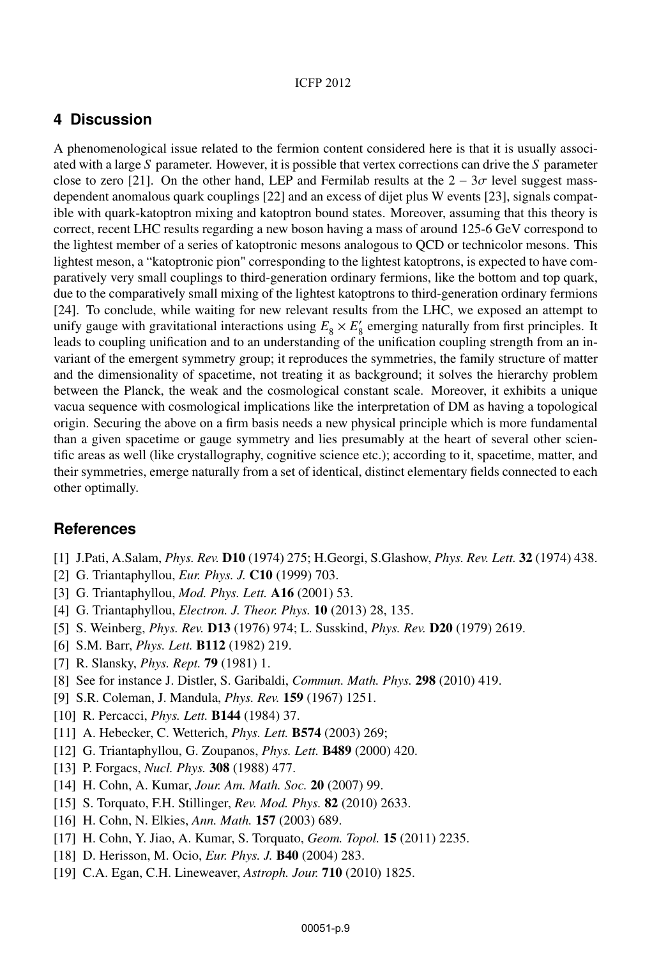## **4 Discussion**

A phenomenological issue related to the fermion content considered here is that it is usually associated with a large *S* parameter. However, it is possible that vertex corrections can drive the *S* parameter close to zero [21]. On the other hand, LEP and Fermilab results at the  $2 - 3\sigma$  level suggest massdependent anomalous quark couplings [22] and an excess of dijet plus W events [23], signals compatible with quark-katoptron mixing and katoptron bound states. Moreover, assuming that this theory is correct, recent LHC results regarding a new boson having a mass of around 125-6 GeV correspond to the lightest member of a series of katoptronic mesons analogous to QCD or technicolor mesons. This lightest meson, a "katoptronic pion" corresponding to the lightest katoptrons, is expected to have comparatively very small couplings to third-generation ordinary fermions, like the bottom and top quark, due to the comparatively small mixing of the lightest katoptrons to third-generation ordinary fermions [24]. To conclude, while waiting for new relevant results from the LHC, we exposed an attempt to unify gauge with gravitational interactions using  $E_8 \times E_8'$  emerging naturally from first principles. It leads to coupling unification and to an understanding of the unification coupling strength from an invariant of the emergent symmetry group; it reproduces the symmetries, the family structure of matter and the dimensionality of spacetime, not treating it as background; it solves the hierarchy problem between the Planck, the weak and the cosmological constant scale. Moreover, it exhibits a unique vacua sequence with cosmological implications like the interpretation of DM as having a topological origin. Securing the above on a firm basis needs a new physical principle which is more fundamental than a given spacetime or gauge symmetry and lies presumably at the heart of several other scientific areas as well (like crystallography, cognitive science etc.); according to it, spacetime, matter, and their symmetries, emerge naturally from a set of identical, distinct elementary fields connected to each other optimally.

### **References**

- [1] J.Pati, A.Salam, *Phys. Rev.* D10 (1974) 275; H.Georgi, S.Glashow, *Phys. Rev. Lett.* 32 (1974) 438.
- [2] G. Triantaphyllou, *Eur. Phys. J.* C10 (1999) 703.
- [3] G. Triantaphyllou, *Mod. Phys. Lett.* A16 (2001) 53.
- [4] G. Triantaphyllou, *Electron. J. Theor. Phys.* 10 (2013) 28, 135.
- [5] S. Weinberg, *Phys. Rev.* D13 (1976) 974; L. Susskind, *Phys. Rev.* D20 (1979) 2619.
- [6] S.M. Barr, *Phys. Lett.* B112 (1982) 219.
- [7] R. Slansky, *Phys. Rept.* 79 (1981) 1.
- [8] See for instance J. Distler, S. Garibaldi, *Commun. Math. Phys.* 298 (2010) 419.
- [9] S.R. Coleman, J. Mandula, *Phys. Rev.* 159 (1967) 1251.
- [10] R. Percacci, *Phys. Lett.* B144 (1984) 37.
- [11] A. Hebecker, C. Wetterich, *Phys. Lett.* B574 (2003) 269;
- [12] G. Triantaphyllou, G. Zoupanos, *Phys. Lett.* B489 (2000) 420.
- [13] P. Forgacs, *Nucl. Phys.* 308 (1988) 477.
- [14] H. Cohn, A. Kumar, *Jour. Am. Math. Soc.* 20 (2007) 99.
- [15] S. Torquato, F.H. Stillinger, *Rev. Mod. Phys.* 82 (2010) 2633.
- [16] H. Cohn, N. Elkies, *Ann. Math.* 157 (2003) 689.
- [17] H. Cohn, Y. Jiao, A. Kumar, S. Torquato, *Geom. Topol.* 15 (2011) 2235.
- [18] D. Herisson, M. Ocio, *Eur. Phys. J.* B40 (2004) 283.
- [19] C.A. Egan, C.H. Lineweaver, *Astroph. Jour.* 710 (2010) 1825.